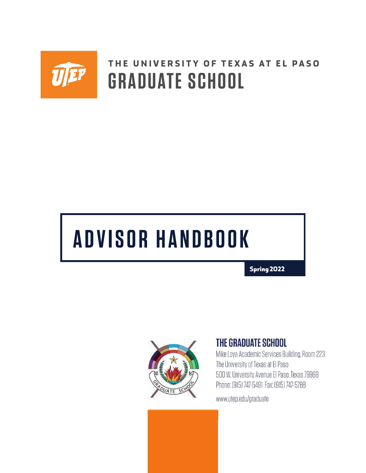

## **THE UNIVERSITY OF TEXAS AT EL PASO GRADUATE SCHOOL**

# **ADV SOR HANDBOOK**

**Spring 2022** 



## **THE GRADUATE SCHOOL**

Mike Loya Academic Services Building, Room 223 The University of Texas at El Paso 500 W. University Avenue El Paso, Texas 79968 Phone: (915) 747-5491 Fax: (915) 747-5788

www.utep.edu/graduate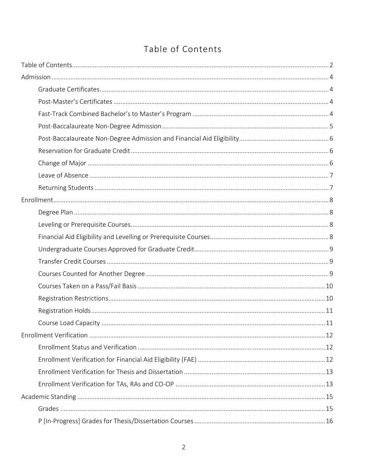## <span id="page-1-0"></span>Table of Contents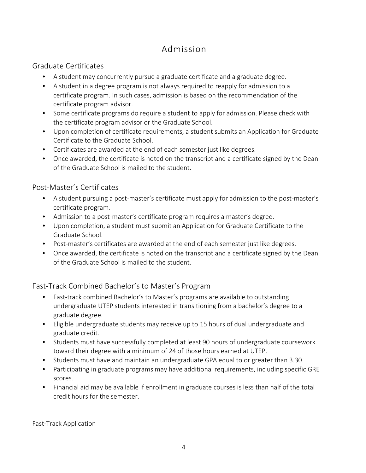## <span id="page-3-0"></span>[Admission](http://catalog.utep.edu/grad/the-graduate-school/admission/)

## <span id="page-3-1"></span>Graduate Certificates

- A student may concurrently pursue a graduate certificate and a graduate degree.
- A student in a degree program is not always required to reapply for admission to a certificate program. In such cases, admission is based on the recommendation of the certificate program advisor.
- Some certificate programs do require a student to apply for admission. Please check with the certificate program advisor or the Graduate School.
- Upon completion of certificate requirements, a student submits an Application for Graduate Certificate to the Graduate School.
- Certificates are awarded at the end of each semester just like degrees.
- Once awarded, the certificate is noted on the transcript and a certificate signed by the Dean of the Graduate School is mailed to the student.

## <span id="page-3-2"></span>Post-Master's Certificates

- A student pursuing a post-master's certificate must apply for admission to the post-master's certificate program.
- Admission to a post-master's certificate program requires a master's degree.
- Upon completion, a student must submit an Application for Graduate Certificate to the Graduate School.
- Post-master's certificates are awarded at the end of each semester just like degrees.
- Once awarded, the certificate is noted on the transcript and a certificate signed by the Dean of the Graduate School is mailed to the student.

## <span id="page-3-3"></span>[Fast-Track Combined Bachelor's to Master's Program](http://catalog.utep.edu/admissions/graduate/fast-track/)

- Fast-track combined Bachelor's to Master's programs are available to outstanding undergraduate UTEP students interested in transitioning from a bachelor's degree to a graduate degree.
- Eligible undergraduate students may receive up to 15 hours of dual undergraduate and graduate credit.
- Students must have successfully completed at least 90 hours of undergraduate coursework toward their degree with a minimum of 24 of those hours earned at UTEP.
- Students must have and maintain an undergraduate GPA equal to or greater than 3.30.
- Participating in graduate programs may have additional requirements, including specific GRE scores.
- Financial aid may be available if enrollment in graduate courses is less than half of the total credit hours for the semester.

[Fast-Track Application](http://catalog.utep.edu/admissions/graduate/fast-track/)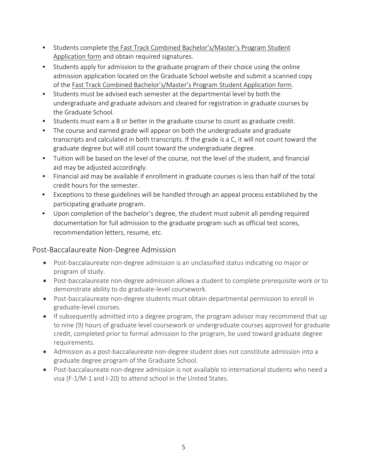- Students complete [the Fast Track Combined Bachelor's/Master's Program Student](https://www.utep.edu/graduate/_Files/docs/admission-and-enrollment/fast-track2021.pdf)  [Application form](https://www.utep.edu/graduate/_Files/docs/admission-and-enrollment/fast-track2021.pdf) and obtain required signatures.
- Students apply for admission to the graduate program of their choice using the online admission application located on the Graduate School website and submit a scanned copy of the [Fast Track Combined Bachelor's/Master's Program Student Application form.](https://www.utep.edu/graduate/_Files/docs/admission-and-enrollment/fast-track2021.pdf)
- Students must be advised each semester at the departmental level by both the undergraduate and graduate advisors and cleared for registration in graduate courses by the Graduate School.
- Students must earn a B or better in the graduate course to count as graduate credit.
- The course and earned grade will appear on both the undergraduate and graduate transcripts and calculated in both transcripts. If the grade is a C, it will not count toward the graduate degree but will still count toward the undergraduate degree.
- Tuition will be based on the level of the course, not the level of the student, and financial aid may be adjusted accordingly.
- Financial aid may be available if enrollment in graduate courses is less than half of the total credit hours for the semester.
- Exceptions to these guidelines will be handled through an appeal process established by the participating graduate program.
- Upon completion of the bachelor's degree, the student must submit all pending required documentation for full admission to the graduate program such as official test scores, recommendation letters, resume, etc.

## <span id="page-4-0"></span>Post-Baccalaureate Non-Degree Admission

- Post-baccalaureate non-degree admission is an unclassified status indicating no major or program of study.
- Post-baccalaureate non-degree admission allows a student to complete prerequisite work or to demonstrate ability to do graduate-level coursework.
- Post-baccalaureate non-degree students must obtain departmental permission to enroll in graduate-level courses.
- If subsequently admitted into a degree program, the program advisor may recommend that up to nine (9) hours of graduate level coursework or undergraduate courses approved for graduate credit, completed prior to formal admission to the program, be used toward graduate degree requirements.
- Admission as a post-baccalaureate non-degree student does not constitute admission into a graduate degree program of the Graduate School.
- Post-baccalaureate non-degree admission is not available to international students who need a visa (F-1/M-1 and I-20) to attend school in the United States.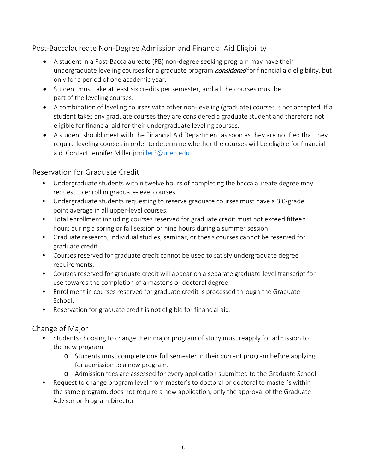<span id="page-5-0"></span>Post-Baccalaureate Non-Degree Admission and Financial Aid Eligibility

- A student in a Post-Baccalaureate (PB) non-degree seeking program may have their undergraduate leveling courses for a graduate program *considered* for financial aid eligibility, but only for a period of one academic year.
- Student must take at least six credits per semester, and all the courses must be part of the leveling courses.
- A combination of leveling courses with other non-leveling (graduate) courses is not accepted. If a student takes any graduate courses they are considered a graduate student and therefore not eligible for financial aid for their undergraduate leveling courses.
- A student should meet with the Financial Aid Department as soon as they are notified that they require leveling courses in order to determine whether the courses will be eligible for financial aid. Contact Jennifer Miller [jrmiller3@utep.edu](mailto:jrmiller3@utep.edu)

## <span id="page-5-1"></span>[Reservation for Graduate Credit](http://catalog.utep.edu/policies-regulations/course-registration/#graduatetext)

- Undergraduate students within twelve hours of completing the baccalaureate degree may request to enroll in graduate-level courses.
- Undergraduate students requesting to reserve graduate courses must have a 3.0-grade point average in all upper-level courses.
- Total enrollment including courses reserved for graduate credit must not exceed fifteen hours during a spring or fall session or nine hours during a summer session.
- Graduate research, individual studies, seminar, or thesis courses cannot be reserved for graduate credit.
- Courses reserved for graduate credit cannot be used to satisfy undergraduate degree requirements.
- Courses reserved for graduate credit will appear on a separate graduate-level transcript for use towards the completion of a master's or doctoral degree.
- Enrollment in courses reserved for graduate credit is processed through the Graduate School.
- Reservation for graduate credit is not eligible for financial aid.

## <span id="page-5-2"></span>[Change of Major](http://catalog.utep.edu/admissions/graduate/graduate-student/)

- Students choosing to change their major program of study must reapply for admission to the new program.
	- o Students must complete one full semester in their current program before applying for admission to a new program.
	- o Admission fees are assessed for every application submitted to the Graduate School.
- Request to change program level from master's to doctoral or doctoral to master's within the same program, does not require a new application, only the approval of the Graduate Advisor or Program Director.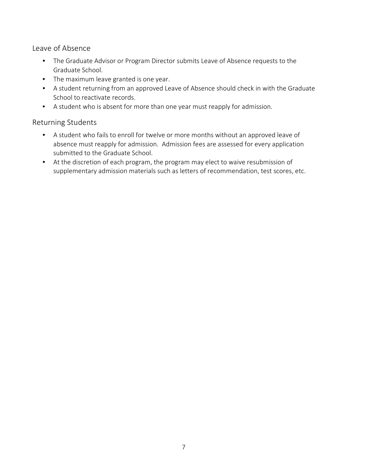<span id="page-6-0"></span>[Leave of Absence](http://catalog.utep.edu/admissions/graduate/graduate-student/) 

- The Graduate Advisor or Program Director submits Leave of Absence requests to the Graduate School.
- The maximum leave granted is one year.
- A student returning from an approved Leave of Absence should check in with the Graduate School to reactivate records.
- A student who is absent for more than one year must reapply for admission.

## <span id="page-6-1"></span>[Returning Students](http://catalog.utep.edu/admissions/graduate/graduate-student/)

- A student who fails to enroll for twelve or more months without an approved leave of absence must reapply for admission. Admission fees are assessed for every application submitted to the Graduate School.
- At the discretion of each program, the program may elect to waive resubmission of supplementary admission materials such as letters of recommendation, test scores, etc.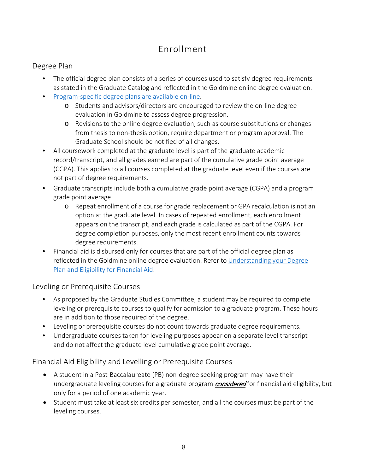## <span id="page-7-0"></span>[Enrollment](http://catalog.utep.edu/admissions/graduate/graduate-student/)

## <span id="page-7-1"></span>[Degree Plan](http://catalog.utep.edu/policies-regulations/graduation-requirements/#graduatedegreerequirementstext)

- The official degree plan consists of a series of courses used to satisfy degree requirements as stated in the Graduate Catalog and reflected in the Goldmine online degree evaluation.
- [Program-specific degree plans are available on-line.](https://degreeplans.utep.edu/)
	- o Students and advisors/directors are encouraged to review the on-line degree evaluation in Goldmine to assess degree progression.
	- o Revisions to the online degree evaluation, such as course substitutions or changes from thesis to non-thesis option, require department or program approval. The Graduate School should be notified of all changes.
- All coursework completed at the graduate level is part of the graduate academic record/transcript, and all grades earned are part of the cumulative grade point average (CGPA). This applies to all courses completed at the graduate level even if the courses are not part of degree requirements.
- Graduate transcripts include both a cumulative grade point average (CGPA) and a program grade point average.
	- o Repeat enrollment of a course for grade replacement or GPA recalculation is not an option at the graduate level. In cases of repeated enrollment, each enrollment appears on the transcript, and each grade is calculated as part of the CGPA. For degree completion purposes, only the most recent enrollment counts towards degree requirements.
- Financial aid is disbursed only for courses that are part of the official degree plan as reflected in the Goldmine online degree evaluation. Refer to [Understanding your Degree](https://www.utep.edu/student-affairs/financialaid/eligibility/degree-plan.html)  [Plan and Eligibility for Financial Aid.](https://www.utep.edu/student-affairs/financialaid/eligibility/degree-plan.html)

## <span id="page-7-2"></span>Leveling [or Prerequisite](http://catalog.utep.edu/policies-regulations/course-registration/#graduatetext) Courses

- As proposed by the Graduate Studies Committee, a student may be required to complete leveling or prerequisite courses to qualify for admission to a graduate program. These hours are in addition to those required of the degree.
- Leveling or prerequisite courses do not count towards graduate degree requirements.
- Undergraduate courses taken for leveling purposes appear on a separate level transcript and do not affect the graduate level cumulative grade point average.

## <span id="page-7-3"></span>Financial Aid Eligibility and Levelling or Prerequisite Courses

- A student in a Post-Baccalaureate (PB) non-degree seeking program may have their undergraduate leveling courses for a graduate program **considered** for financial aid eligibility, but only for a period of one academic year.
- Student must take at least six credits per semester, and all the courses must be part of the leveling courses.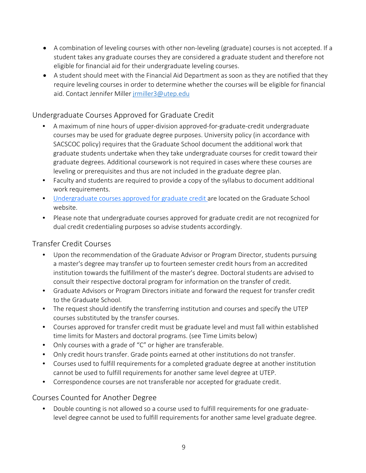- A combination of leveling courses with other non-leveling (graduate) courses is not accepted. If a student takes any graduate courses they are considered a graduate student and therefore not eligible for financial aid for their undergraduate leveling courses.
- A student should meet with the Financial Aid Department as soon as they are notified that they require leveling courses in order to determine whether the courses will be eligible for financial aid. Contact Jennifer Miller [jrmiller3@utep.edu](mailto:jrmiller3@utep.edu)

## <span id="page-8-0"></span>[Undergraduate Courses Approved for Graduate Credit](http://catalog.utep.edu/policies-regulations/course-registration/#graduatetext)

- A maximum of nine hours of upper-division approved-for-graduate-credit undergraduate courses may be used for graduate degree purposes. University policy (in accordance with SACSCOC policy) requires that the Graduate School document the additional work that graduate students undertake when they take undergraduate courses for credit toward their graduate degrees. Additional coursework is not required in cases where these courses are leveling or prerequisites and thus are not included in the graduate degree plan.
- Faculty and students are required to provide a copy of the syllabus to document additional work requirements.
- [Undergraduate courses approved for graduate credit ar](https://www.utep.edu/graduate/current-students/advising-enrollment.html)e located on the Graduate School website.
- Please note that undergraduate courses approved for graduate credit are not recognized for dual credit credentialing purposes so advise students accordingly.

## <span id="page-8-1"></span>[Transfer Credit Courses](http://catalog.utep.edu/admissions/graduate/graduate-student/)

- Upon the recommendation of the Graduate Advisor or Program Director, students pursuing a master's degree may transfer up to fourteen semester credit hours from an accredited institution towards the fulfillment of the master's degree. Doctoral students are advised to consult their respective doctoral program for information on the transfer of credit.
- Graduate Advisors or Program Directors initiate and forward the request for transfer credit to the Graduate School.
- The request should identify the transferring institution and courses and specify the UTEP courses substituted by the transfer courses.
- Courses approved for transfer credit must be graduate level and must fall within established time limits for Masters and doctoral programs. (see Time Limits below)
- Only courses with a grade of "C" or higher are transferable.
- Only credit hours transfer. Grade points earned at other institutions do not transfer.
- Courses used to fulfill requirements for a completed graduate degree at another institution cannot be used to fulfill requirements for another same level degree at UTEP.
- Correspondence courses are not transferable nor accepted for graduate credit.

## <span id="page-8-2"></span>[Courses Counted for Another Degree](http://catalog.utep.edu/policies-regulations/course-registration/#graduatetext)

• Double counting is not allowed so a course used to fulfill requirements for one graduatelevel degree cannot be used to fulfill requirements for another same level graduate degree.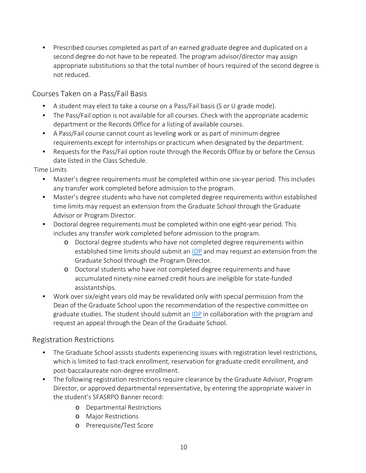• Prescribed courses completed as part of an earned graduate degree and duplicated on a second degree do not have to be repeated. The program advisor/director may assign appropriate substitutions so that the total number of hours required of the second degree is not reduced.

<span id="page-9-0"></span>[Courses Taken on a Pass/Fail Basis](http://catalog.utep.edu/policies-regulations/course-registration/#graduatetext)

- A student may elect to take a course on a Pass/Fail basis (S or U grade mode).
- The Pass/Fail option is not available for all courses. Check with the appropriate academic department or the Records Office for a listing of available courses.
- A Pass/Fail course cannot count as leveling work or as part of minimum degree requirements except for internships or practicum when designated by the department.
- Requests for the Pass/Fail option route through the Records Office by or before the Census date listed in the Class Schedule.

[Time Limits](http://catalog.utep.edu/policies-regulations/graduation-requirements/#graduatedegreerequirementstext)

- Master's degree requirements must be completed within one six-year period. This includes any transfer work completed before admission to the program.
- Master's degree students who have not completed degree requirements within established time limits may request an extension from the Graduate School through the Graduate Advisor or Program Director.
- Doctoral degree requirements must be completed within one eight-year period. This includes any transfer work completed before admission to the program.
	- o Doctoral degree students who have not completed degree requirements within established time limits should submit an [IDP](https://www.utep.edu/graduate/_Files/docs/forms/forms/IDP_template_UTEP_Graduate_School_annual.docx) and may request an extension from the Graduate School through the Program Director.
	- o Doctoral students who have not completed degree requirements and have accumulated ninety-nine earned credit hours are ineligible for state-funded assistantships.
- Work over six/eight years old may be revalidated only with special permission from the Dean of the Graduate School upon the recommendation of the respective committee on graduate studies. The student should submit an [IDP](https://www.utep.edu/graduate/_Files/docs/forms/forms/IDP_template_UTEP_Graduate_School_annual.docx) in collaboration with the program and request an appeal through the Dean of the Graduate School.

## <span id="page-9-1"></span>[Registration Restrictions](http://catalog.utep.edu/policies-regulations/course-registration/#text)

- The Graduate School assists students experiencing issues with registration level restrictions, which is limited to fast-track enrollment, reservation for graduate credit enrollment, and post-baccalaureate non-degree enrollment.
- The following registration restrictions require clearance by the Graduate Advisor, Program Director, or approved departmental representative, by entering the appropriate waiver in the student's SFASRPO Banner record:
	- o Departmental Restrictions
	- o Major Restrictions
	- o Prerequisite/Test Score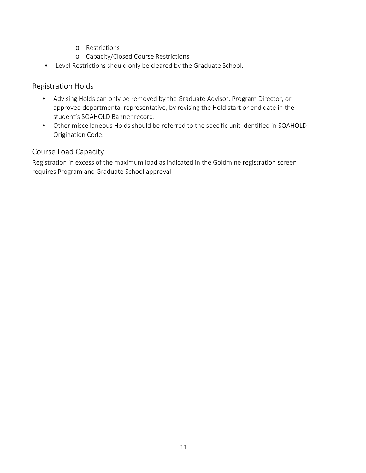- o Restrictions
- o Capacity/Closed Course Restrictions
- Level Restrictions should only be cleared by the Graduate School.

#### <span id="page-10-0"></span>Registration Holds

- Advising Holds can only be removed by the Graduate Advisor, Program Director, or approved departmental representative, by revising the Hold start or end date in the student's SOAHOLD Banner record.
- Other miscellaneous Holds should be referred to the specific unit identified in SOAHOLD Origination Code.

## <span id="page-10-1"></span>Course Load Capacity

Registration in excess of the maximum load as indicated in the Goldmine registration screen requires Program and Graduate School approval.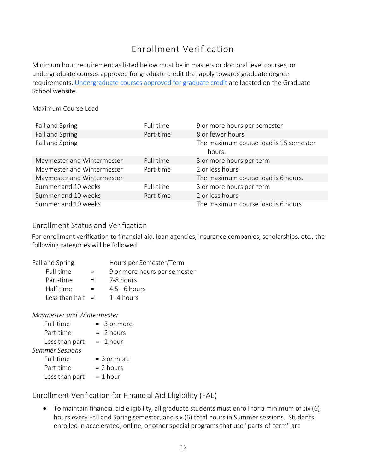## <span id="page-11-0"></span>[Enrollment Verification](http://catalog.utep.edu/policies-regulations/course-registration/#graduatetext)

Minimum hour requirement as listed below must be in masters or doctoral level courses, or undergraduate courses approved for graduate credit that apply towards graduate degree requirements. [Undergraduate courses approved for graduate credit](https://www.utep.edu/graduate/current-students/advising-enrollment.html) [a](https://www.utep.edu/graduate/current-students/advising-enrollment.html)re located on the Graduate School website.

Maximum Course Load

| Fall and Spring            | Full-time | 9 or more hours per semester                     |
|----------------------------|-----------|--------------------------------------------------|
| Fall and Spring            | Part-time | 8 or fewer hours                                 |
| Fall and Spring            |           | The maximum course load is 15 semester<br>hours. |
| Maymester and Wintermester | Full-time | 3 or more hours per term                         |
| Maymester and Wintermester | Part-time | 2 or less hours                                  |
| Maymester and Wintermester |           | The maximum course load is 6 hours.              |
| Summer and 10 weeks        | Full-time | 3 or more hours per term                         |
| Summer and 10 weeks        | Part-time | 2 or less hours                                  |
| Summer and 10 weeks        |           | The maximum course load is 6 hours.              |

#### <span id="page-11-1"></span>Enrollment Status and Verification

For enrollment verification to financial aid, loan agencies, insurance companies, scholarships, etc., the following categories will be followed.

| Fall and Spring    |     | Hours per Semester/Term      |
|--------------------|-----|------------------------------|
| Full-time          | $=$ | 9 or more hours per semester |
| Part-time          | $=$ | 7-8 hours                    |
| Half time          | $=$ | $4.5 - 6$ hours              |
| Less than half $=$ |     | $1 - 4$ hours                |

#### *Maymester and Wintermester*

| Full-time              | $=$ 3 or more |
|------------------------|---------------|
| Part-time              | $= 2 hours$   |
| Less than part         | $= 1$ hour    |
| <b>Summer Sessions</b> |               |
| Full-time              | $=$ 3 or more |
| Part-time              | $= 2$ hours   |
| Less than part         | $= 1$ hour    |

<span id="page-11-2"></span>[Enrollment Verification for Financial Aid Eligibility \(FAE\)](http://catalog.utep.edu/policies-regulations/course-registration/#graduatetext) 

• To maintain financial aid eligibility, all graduate students must enroll for a minimum of six (6) hours every Fall and Spring semester, and six (6) total hours in Summer sessions. Students enrolled in accelerated, online, or other special programs that use "parts-of-term" are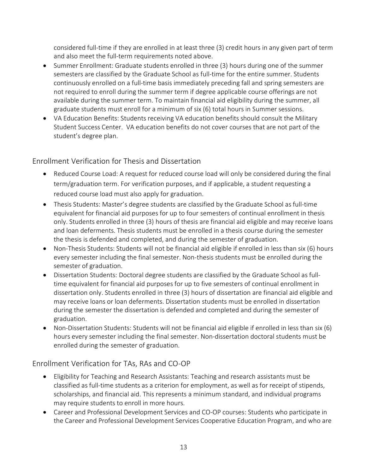considered full-time if they are enrolled in at least three (3) credit hours in any given part of term and also meet the full-term requirements noted above.

- Summer Enrollment: Graduate students enrolled in three (3) hours during one of the summer semesters are classified by the Graduate School as full-time for the entire summer. Students continuously enrolled on a full-time basis immediately preceding fall and spring semesters are not required to enroll during the summer term if degree applicable course offerings are not available during the summer term. To maintain financial aid eligibility during the summer, all graduate students must enroll for a minimum of six (6) total hours in Summer sessions.
- VA Education Benefits: Students receiving VA education benefits should consult the Military Student Success Center. VA education benefits do not cover courses that are not part of the student's degree plan.

## <span id="page-12-0"></span>[Enrollment Verification for Thesis and Dissertation](http://catalog.utep.edu/policies-regulations/course-registration/#graduatetext)

- [Reduced Course Load:](http://catalog.utep.edu/policies-regulations/course-registration/#graduatetext) A request for reduced course load will only be considered during the final term/graduation term. For verification purposes, and if applicable, a student requesting a reduced course load must also apply for graduation.
- [Thesis Students: M](http://catalog.utep.edu/policies-regulations/course-registration/#graduatetext)aster's degree students are classified by the Graduate School as full-time equivalent for financial aid purposes for up to four semesters of continual enrollment in thesis only. Students enrolled in three (3) hours of thesis are financial aid eligible and may receive loans and loan deferments. Thesis students must be enrolled in a thesis course during the semester the thesis is defended and completed, and during the semester of graduation.
- [Non-Thesis Students: S](http://catalog.utep.edu/policies-regulations/course-registration/#graduatetext)tudents will not be financial aid eligible if enrolled in less than six (6) hours every semester including the final semester. Non-thesis students must be enrolled during the semester of graduation.
- [Dissertation Students: D](http://catalog.utep.edu/policies-regulations/course-registration/#graduatetext)octoral degree students are classified by the Graduate School as fulltime equivalent for financial aid purposes for up to five semesters of continual enrollment in dissertation only. Students enrolled in three (3) hours of dissertation are financial aid eligible and may receive loans or loan deferments. Dissertation students must be enrolled in dissertation during the semester the dissertation is defended and completed and during the semester of graduation.
- [Non-Dissertation Students: S](http://catalog.utep.edu/policies-regulations/course-registration/#graduatetext)tudents will not be financial aid eligible if enrolled in less than six (6) hours every semester including the final semester. Non-dissertation doctoral students must be enrolled during the semester of graduation.

## <span id="page-12-1"></span>[Enrollment Verification for TAs, RAs and CO-OP](http://catalog.utep.edu/policies-regulations/course-registration/#graduatetext)

- [Eligibility for Teaching and Research Assistants:](http://catalog.utep.edu/policies-regulations/course-registration/#graduatetext) Teaching and research assistants must be classified as full-time students as a criterion for employment, as well as for receipt of stipends, scholarships, and financial aid. This represents a minimum standard, and individual programs may require students to enroll in more hours.
- [Career and Professional Development Services and CO-OP courses:](http://catalog.utep.edu/policies-regulations/course-registration/#graduatetext) Students who participate in the Career and Professional Development Services Cooperative Education Program, and who are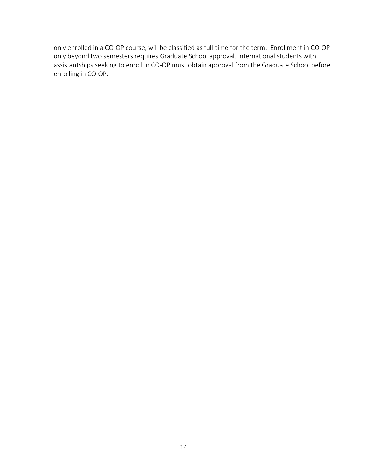only enrolled in a CO-OP course, will be classified as full-time for the term. Enrollment in CO-OP only beyond two semesters requires Graduate School approval. International students with assistantships seeking to enroll in CO-OP must obtain approval from the Graduate School before enrolling in CO-OP.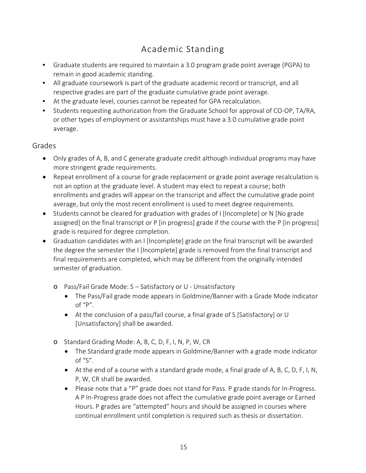## <span id="page-14-0"></span>[Academic Standing](http://catalog.utep.edu/policies-regulations/attendance-grading/#graduatetext)

- Graduate students are required to maintain a 3.0 program grade point average (PGPA) to remain in good academic standing.
- All graduate coursework is part of the graduate academic record or transcript, and all respective grades are part of the graduate cumulative grade point average.
- At the graduate level, courses cannot be repeated for GPA recalculation.
- Students requesting authorization from the Graduate School for approval of CO-OP, TA/RA, or other types of employment or assistantships must have a 3.0 cumulative grade point average.

## <span id="page-14-1"></span>[Grades](http://catalog.utep.edu/policies-regulations/attendance-grading/#graduatetext)

- Only grades of A, B, and C generate graduate credit although individual programs may have more stringent grade requirements.
- Repeat enrollment of a course for grade replacement or grade point average recalculation is not an option at the graduate level. A student may elect to repeat a course; both enrollments and grades will appear on the transcript and affect the cumulative grade point average, but only the most recent enrollment is used to meet degree requirements.
- Students cannot be cleared for graduation with grades of I [Incomplete] or N [No grade assigned] on the final transcript or P [in progress] grade if the course with the P [in progress] grade is required for degree completion.
- Graduation candidates with an I [Incomplete] grade on the final transcript will be awarded the degree the semester the I [Incomplete] grade is removed from the final transcript and final requirements are completed, which may be different from the originally intended semester of graduation.
	- o [Pass/Fail Grade Mode:](http://catalog.utep.edu/policies-regulations/attendance-grading/#graduatetext) S Satisfactory or U Unsatisfactory
		- The Pass/Fail grade mode appears in Goldmine/Banner with a Grade Mode indicator of "P".
		- At the conclusion of a pass/fail course, a final grade of S [Satisfactory] or U [Unsatisfactory] shall be awarded.
	- o [Standard Grading Mode:](http://catalog.utep.edu/policies-regulations/attendance-grading/#graduatetext) A, B, C, D, F, I, N, P, W, CR
		- The Standard grade mode appears in Goldmine/Banner with a grade mode indicator of "S".
		- At the end of a course with a standard grade mode, a final grade of A, B, C, D, F, I, N, P, W, CR shall be awarded.
		- Please note that a "P" grade does not stand for Pass. P grade stands for In-Progress. A P In-Progress grade does not affect the cumulative grade point average or Earned Hours. P grades are "attempted" hours and should be assigned in courses where continual enrollment until completion is required such as thesis or dissertation.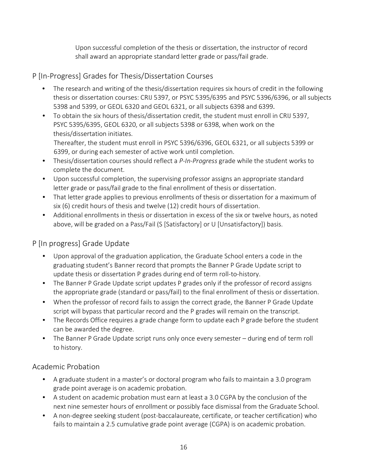Upon successful completion of the thesis or dissertation, the instructor of record shall award an appropriate standard letter grade or pass/fail grade.

## <span id="page-15-0"></span>[P \[In-Progress\] Grades for Thesis/Dissertation Courses](http://catalog.utep.edu/policies-regulations/attendance-grading/#graduatetext)

- The research and writing of the thesis/dissertation requires six hours of credit in the following thesis or dissertation courses: CRIJ 5397, or PSYC 5395/6395 and PSYC 5396/6396, or all subjects 5398 and 5399, or GEOL 6320 and GEOL 6321, or all subjects 6398 and 6399.
- To obtain the six hours of thesis/dissertation credit, the student must enroll in CRIJ 5397, PSYC 5395/6395, GEOL 6320, or all subjects 5398 or 6398, when work on the thesis/dissertation initiates. Thereafter, the student must enroll in PSYC 5396/6396, GEOL 6321, or all subjects 5399 or 6399, or during each semester of active work until completion.
- Thesis/dissertation courses should reflect a *P-In-Progress* grade while the student works to complete the document.
- Upon successful completion, the supervising professor assigns an appropriate standard letter grade or pass/fail grade to the final enrollment of thesis or dissertation.
- That letter grade applies to previous enrollments of thesis or dissertation for a maximum of six (6) credit hours of thesis and twelve (12) credit hours of dissertation.
- Additional enrollments in thesis or dissertation in excess of the six or twelve hours, as noted above, will be graded on a Pass/Fail (S [Satisfactory] or U [Unsatisfactory]) basis.

## <span id="page-15-1"></span>[P \[In progress\] Grade Update](http://catalog.utep.edu/grad/academic-regulations/#curriculumandclassroompoliciestext)

- Upon approval of the graduation application, the Graduate School enters a code in the graduating student's Banner record that prompts the Banner P Grade Update script to update thesis or dissertation P grades during end of term roll-to-history.
- The Banner P Grade Update script updates P grades only if the professor of record assigns the appropriate grade (standard or pass/fail) to the final enrollment of thesis or dissertation.
- When the professor of record fails to assign the correct grade, the Banner P Grade Update script will bypass that particular record and the P grades will remain on the transcript.
- The Records Office requires a grade change form to update each P grade before the student can be awarded the degree.
- The Banner P Grade Update script runs only once every semester during end of term roll to history.

## <span id="page-15-2"></span>[Academic Probation](http://catalog.utep.edu/policies-regulations/attendance-grading/#graduatetext)

- A graduate student in a master's or doctoral program who fails to maintain a 3.0 program grade point average is on academic probation.
- A student on academic probation must earn at least a 3.0 CGPA by the conclusion of the next nine semester hours of enrollment or possibly face dismissal from the Graduate School.
- A non-degree seeking student (post-baccalaureate, certificate, or teacher certification) who fails to maintain a 2.5 cumulative grade point average (CGPA) is on academic probation.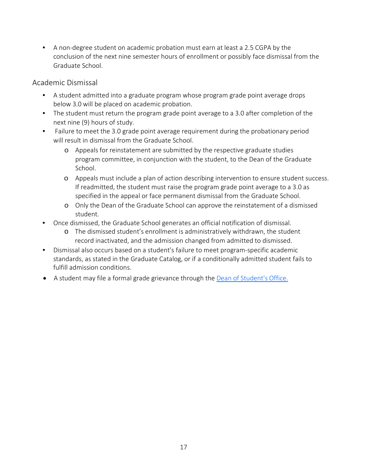• A non-degree student on academic probation must earn at least a 2.5 CGPA by the conclusion of the next nine semester hours of enrollment or possibly face dismissal from the Graduate School.

#### <span id="page-16-0"></span>[Academic Dismissal](http://catalog.utep.edu/policies-regulations/attendance-grading/#graduatetext)

- A student admitted into a graduate program whose program grade point average drops below 3.0 will be placed on academic probation.
- The student must return the program grade point average to a 3.0 after completion of the next nine (9) hours of study.
- Failure to meet the 3.0 grade point average requirement during the probationary period will result in dismissal from the Graduate School.
	- o Appeals for reinstatement are submitted by the respective graduate studies program committee, in conjunction with the student, to the Dean of the Graduate School.
	- o Appeals must include a plan of action describing intervention to ensure student success. If readmitted, the student must raise the program grade point average to a 3.0 as specified in the appeal or face permanent dismissal from the Graduate School.
	- o Only the Dean of the Graduate School can approve the reinstatement of a dismissed student.
- Once dismissed, the Graduate School generates an official notification of dismissal.
	- o The dismissed student's enrollment is administratively withdrawn, the student record inactivated, and the admission changed from admitted to dismissed.
- Dismissal also occurs based on a student's failure to meet program-specific academic standards, as stated in the Graduate Catalog, or if a conditionally admitted student fails to fulfill admission conditions.
- A student may file a formal grade grievance through the [Dean of Student's Office.](https://www.utep.edu/student-affairs/dean-of-students-office/academic-support/grade-grievance.html)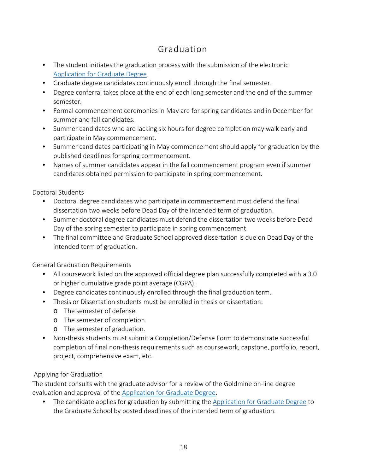## <span id="page-17-0"></span>[Graduation](http://catalog.utep.edu/policies-regulations/graduation-requirements/#graduatedegreerequirementstext)

- The student initiates the graduation process with the submission of the electronic [Application for Graduate Degree.](https://www.utep.edu/graduate/forms.html)
- Graduate degree candidates continuously enroll through the final semester.
- Degree conferral takes place at the end of each long semester and the end of the summer semester.
- Formal commencement ceremonies in May are for spring candidates and in December for summer and fall candidates.
- Summer candidates who are lacking six hours for degree completion may walk early and participate in May commencement.
- Summer candidates participating in May commencement should apply for graduation by the published deadlines for spring commencement.
- Names of summer candidates appear in the fall commencement program even if summer candidates obtained permission to participate in spring commencement.

[Doctoral Students](http://catalog.utep.edu/policies-regulations/graduation-requirements/#graduatedegreerequirementstext) 

- Doctoral degree candidates who participate in commencement must defend the final dissertation two weeks before Dead Day of the intended term of graduation.
- Summer doctoral degree candidates must defend the dissertation two weeks before Dead Day of the spring semester to participate in spring commencement.
- The final committee and Graduate School approved dissertation is due on Dead Day of the intended term of graduation.

[General Graduation Requirements](http://catalog.utep.edu/policies-regulations/graduation-requirements/#graduatedegreerequirementstext) 

- All coursework listed on the approved official degree plan successfully completed with a 3.0 or higher cumulative grade point average (CGPA).
- Degree candidates continuously enrolled through the final graduation term.
- Thesis or Dissertation students must be enrolled in thesis or dissertation:
	- o The semester of defense.
	- o The semester of completion.
	- o The semester of graduation.
- Non-thesis students must submit a Completion/Defense Form to demonstrate successful completion of final non-thesis requirements such as coursework, capstone, portfolio, report, project, comprehensive exam, etc.

#### [Applying for Graduation](http://catalog.utep.edu/policies-regulations/graduation-requirements/#graduatedegreerequirementstext)

The student consults with the graduate advisor for a review of the Goldmine on-line degree evaluation and approval of the **Application for Graduate Degree**.

• The candidate applies for graduation by submitting the [Application for Graduate Degree](https://www.utep.edu/graduate/forms.html) to the Graduate School by posted deadlines of the intended term of graduation.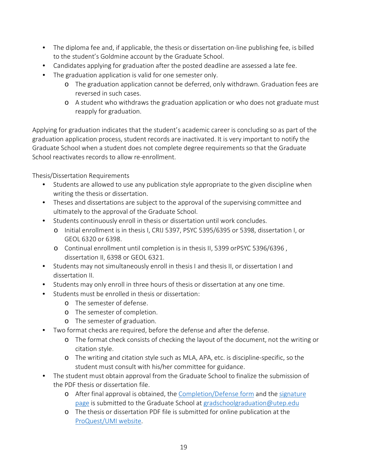- The diploma fee and, if applicable, the thesis or dissertation on-line publishing fee, is billed to the student's Goldmine account by the Graduate School.
- Candidates applying for graduation after the posted deadline are assessed a late fee.
- The graduation application is valid for one semester only.
	- o The graduation application cannot be deferred, only withdrawn. Graduation fees are reversed in such cases.
	- o A student who withdraws the graduation application or who does not graduate must reapply for graduation.

Applying for graduation indicates that the student's academic career is concluding so as part of the graduation application process, student records are inactivated. It is very important to notify the Graduate School when a student does not complete degree requirements so that the Graduate School reactivates records to allow re-enrollment.

[Thesis/Dissertation Requirements](http://catalog.utep.edu/policies-regulations/graduation-requirements/#graduatedegreerequirementstext) 

- Students are allowed to use any publication style appropriate to the given discipline when writing the thesis or dissertation.
- Theses and dissertations are subject to the approval of the supervising committee and ultimately to the approval of the Graduate School.
- Students continuously enroll in thesis or dissertation until work concludes.
	- o Initial enrollment is in thesis I, CRIJ 5397, PSYC 5395/6395 or 5398, dissertation I, or GEOL 6320 or 6398.
	- o Continual enrollment until completion is in thesis II, 5399 orPSYC 5396/6396 , dissertation II, 6398 or GEOL 6321.
- Students may not simultaneously enroll in thesis I and thesis II, or dissertation I and dissertation II.
- Students may only enroll in three hours of thesis or dissertation at any one time.
- Students must be enrolled in thesis or dissertation:
	- o The semester of defense.
	- o The semester of completion.
	- o The semester of graduation.
- Two format checks are required, before the defense and after the defense.
	- o The format check consists of checking the layout of the document, not the writing or citation style.
	- o The writing and citation style such as MLA, APA, etc. is discipline-specific, so the student must consult with his/her committee for guidance.
- The student must obtain approval from the Graduate School to finalize the submission of the PDF thesis or dissertation file.
	- o After final approval is obtained, the [Completion/Defense form](https://www.utep.edu/graduate/forms.html) and the [signature](https://www.utep.edu/graduate/forms.html)  [page](https://www.utep.edu/graduate/forms.html) is submitted to the Graduate School at [gradschoolgraduation@utep.edu](mailto:gradschoolgraduation@utep.edu)
	- o The thesis or dissertation PDF file is submitted for online publication at the [ProQuest/UMI](https://www.etdadmin.com/main/home?siteId=95) website.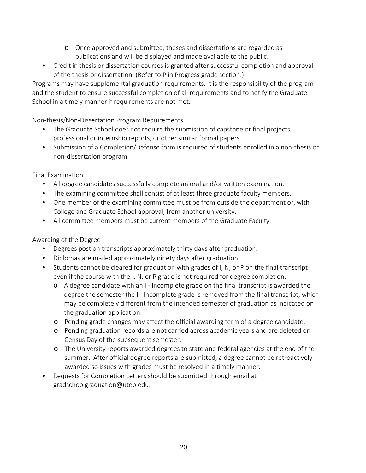- o Once approved and submitted, theses and dissertations are regarded as publications and will be displayed and made available to the public.
- Credit in thesis or dissertation courses is granted after successful completion and approval of the thesis or dissertation. (Refer to P in Progress grade section.)

Programs may have supplemental graduation requirements. It is the responsibility of the program and the student to ensure successful completion of all requirements and to notify the Graduate School in a timely manner if requirements are not met.

[Non-thesis/Non-Dissertation Program Requirements](http://catalog.utep.edu/policies-regulations/graduation-requirements/#graduatedegreerequirementstext) 

- The Graduate School does not require the submission of capstone or final projects, professional or internship reports, or other similar formal papers.
- Submission of a Completion/Defense form is required of students enrolled in a non-thesis or non-dissertation program.

[Final Examination](http://catalog.utep.edu/policies-regulations/graduation-requirements/#graduatedegreerequirementstext)

- All degree candidates successfully complete an oral and/or written examination.
- The examining committee shall consist of at least three graduate faculty members.
- One member of the examining committee must be from outside the department or, with College and Graduate School approval, from another university.
- All committee members must be current members of the Graduate Faculty.

[Awarding of the Degree](http://catalog.utep.edu/policies-regulations/graduation-requirements/#graduatedegreerequirementstext)

- Degrees post on transcripts approximately thirty days after graduation.
- Diplomas are mailed approximately ninety days after graduation.
- Students cannot be cleared for graduation with grades of I, N, or P on the final transcript even if the course with the I, N, or P grade is not required for degree completion.
	- o A degree candidate with an I Incomplete grade on the final transcript is awarded the degree the semester the I - Incomplete grade is removed from the final transcript, which may be completely different from the intended semester of graduation as indicated on the graduation application.
	- o Pending grade changes may affect the official awarding term of a degree candidate.
	- o Pending graduation records are not carried across academic years and are deleted on Census Day of the subsequent semester.
	- o The University reports awarded degrees to state and federal agencies at the end of the summer. After official degree reports are submitted, a degree cannot be retroactively awarded so issues with grades must be resolved in a timely manner.
- Requests for Completion Letters should be submitted through email at gradschoolgraduation@utep.edu.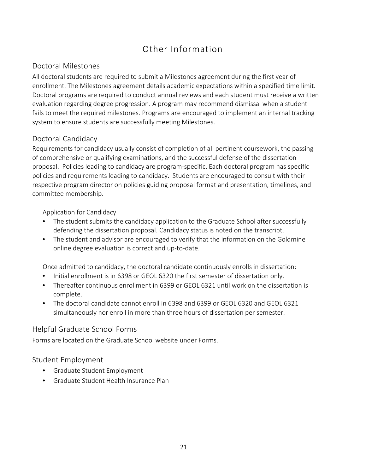## Other Information

## <span id="page-20-1"></span><span id="page-20-0"></span>[Doctoral Milestones](http://catalog.utep.edu/policies-regulations/graduation-requirements/#graduatedegreerequirementstext)

All doctoral students are required to submit a Milestones agreement during the first year of enrollment. The Milestones agreement details academic expectations within a specified time limit. Doctoral programs are required to conduct annual reviews and each student must receive a written evaluation regarding degree progression. A program may recommend dismissal when a student fails to meet the required milestones. Programs are encouraged to implement an internal tracking system to ensure students are successfully meeting Milestones.

## [Doctoral Candidacy](http://catalog.utep.edu/policies-regulations/graduation-requirements/#graduatedegreerequirementstext)

Requirements for candidacy usually consist of completion of all pertinent coursework, the passing of comprehensive or qualifying examinations, and the successful defense of the dissertation proposal. Policies leading to candidacy are program-specific. Each doctoral program has specific policies and requirements leading to candidacy. Students are encouraged to consult with their respective program director on policies guiding proposal format and presentation, timelines, and committee membership.

#### [Application for Candidacy](https://www.utep.edu/graduate/forms.html)

- The student submits the candidacy application to the Graduate School after successfully defending the dissertation proposal. Candidacy status is noted on the transcript.
- The student and advisor are encouraged to verify that the information on the Goldmine online degree evaluation is correct and up-to-date.

Once admitted to candidacy, the doctoral candidate continuously enrolls in dissertation:

- Initial enrollment is in 6398 or GEOL 6320 the first semester of dissertation only.
- Thereafter continuous enrollment in 6399 or GEOL 6321 until work on the dissertation is complete.
- The doctoral candidate cannot enroll in 6398 and 6399 or GEOL 6320 and GEOL 6321 simultaneously nor enroll in more than three hours of dissertation per semester.

#### <span id="page-20-2"></span>[Helpful Graduate School Forms](https://www.utep.edu/graduate/forms.html)

Forms are located on the Graduate School website under Forms.

## <span id="page-20-3"></span>[Student Employment](https://www.utep.edu/student-affairs/studentemployment/)

- [Graduate Student Employment](https://www.utep.edu/human-resources/services/compensation/student-employment-guidelines.html)
- [Graduate Student Health Insurance Plan](https://www.utep.edu/human-resources/services/benefits/student-health-insurance-plan.html)